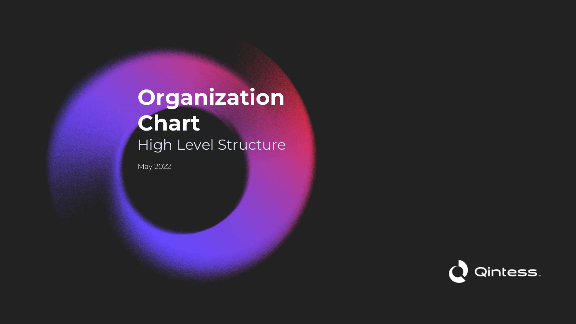# **Organization Chart** High Level Structure

May 2022

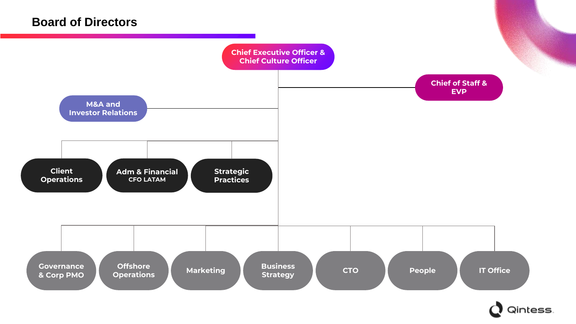#### **Board of Directors**



Qintess.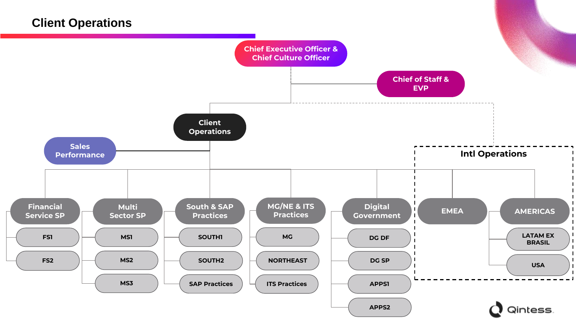## **Client Operations**

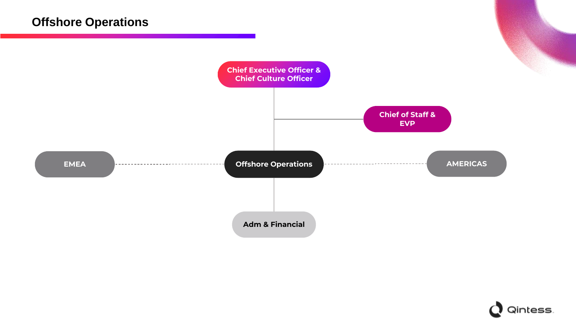

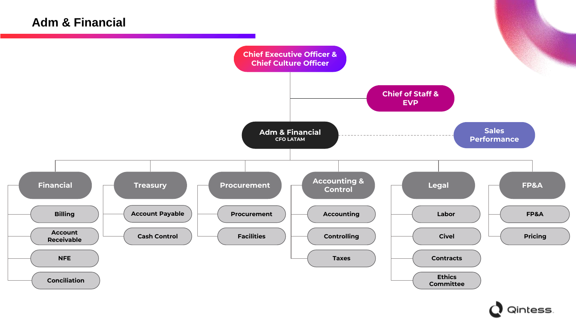### **Adm & Financial**



Qintess.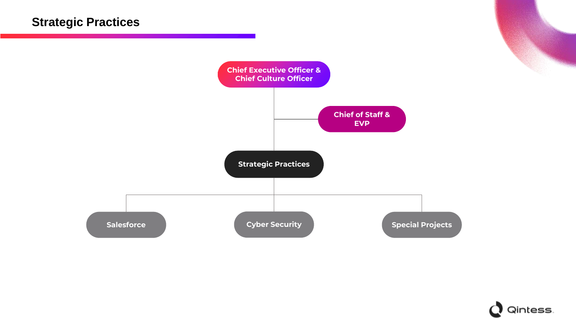

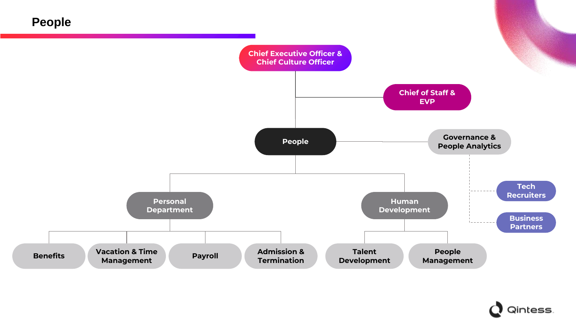**People**



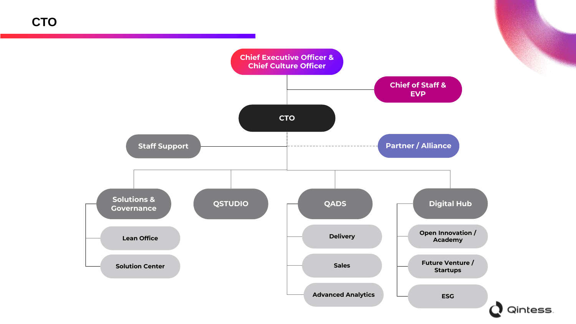**CTO**

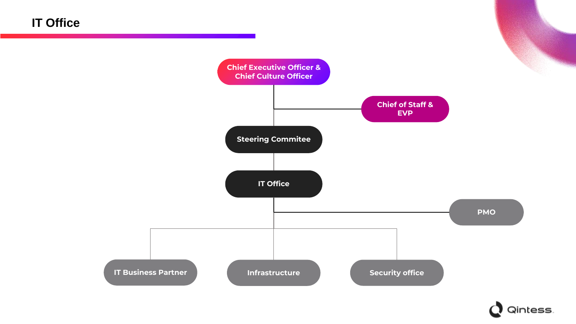**IT Office**



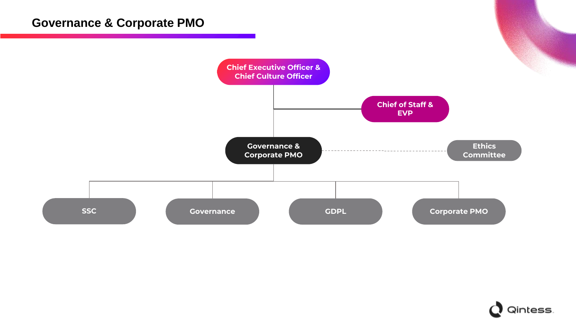## **Governance & Corporate PMO**



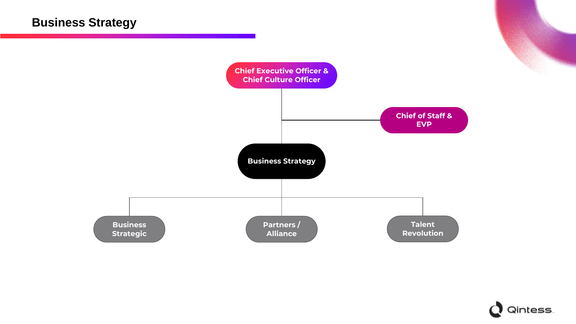